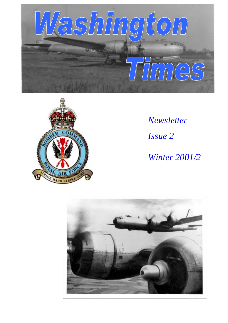



*Newsletter Issue 2 Winter 2001/2*

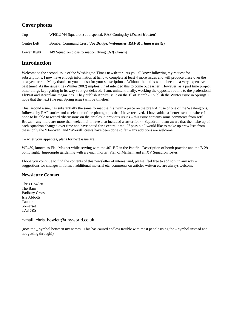## **Cover photos**

Top WF512 (44 Squadron) at dispersal, RAF Coningsby (*Ernest Howlett*) Centre Left Bomber Command Crest (*Joe Bridge, Webmaster, RAF Marham website*)

Lower Right 149 Squadron close formation flying (*Jeff Brown)*

# **Introduction**

Welcome to the second issue of the Washington Times newsletter. As you all know following my request for subscriptions, I now have enough information at hand to complete at least 4 more issues and will produce these over the next year or so. Many thanks to you all also for your subscriptions. Without them this would become a very expensive past time! As the issue title (Winter 2002) implies, I had intended this to come out earlier. However, as a part time project other things kept getting in its way so it got delayed. I am, unintentionally, working the opposite routine to the professional FlyPast and Aeroplane magazines. They publish April's issue on the 1<sup>st</sup> of March - I publish the Winter issue in Spring! I hope that the next (the real Spring issue) will be timelier!

This, second issue, has substantially the same format the first with a piece on the pre RAF use of one of the Washingtons, followed by RAF stories and a selection of the photographs that I have received. I have added a 'letter' section where I hope to be able to record 'discussion' on the articles in previous issues – this issue contains some comments from Jeff Brown – any more are more than welcome! I have also included a roster for 44 Squadron. I am aware that the make up of each squadron changed over time and have opted for a central time. If possible I would like to make up crew lists from these, only the 'Donovan' and 'Worrall' crews have been done so far – any additions are welcome.

To whet your appetites, plans for next issue are:

WF439, known as Flak Magnet while serving with the  $40<sup>th</sup> BG$  in the Pacific. Description of bomb practice and the B-29 bomb sight. Impromptu gardening with a 2-inch mortar. Plan of Marham and an XV Squadron roster.

I hope you continue to find the contents of this newsletter of interest and, please, feel free to add to it in any way – suggestions for changes in format, additional material etc, comments on articles written etc are always welcome!

#### **Newsletter Contact**

Chris Howlett The Barn Badbury Cross Isle Abbotts Taunton Somerset TA3 6RS

e-mail chris\_howlett@tinyworld.co.uk

(note the \_ symbol between my names. This has caused endless trouble with most people using the – symbol instead and not getting through!)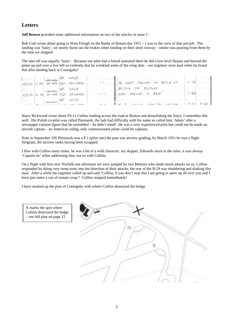### **Letters**

**Jeff Brown** provided some additional information on two of the articles in issue 1:

Bob Cole wrote about going to West Freugh on the Battle of Britain day 1951 – I was in the crew of that aircraft. The landing was 'hairy', we nearly burnt out the brakes when landing on their short runway - smoke was pouring from them by the time we stopped.

The take off was equally 'hairy'. Because our pilot had a friend stationed there he did a low level flypast and heaved the plane up and over a low hill so violently that he wrinkled some of the wing skin – our engineer went mad when he found this after landing back at Coningsby!

|  |  | $\begin{array}{ c c c c c }\hline \multicolumn{1}{ c }{\text{non-order}} & \multicolumn{1}{ c }{\text{for}} & \multicolumn{1}{ c }{\text{for}} & \multicolumn{1}{ c }{\text{for}} & \multicolumn{1}{ c }{\text{for}} & \multicolumn{1}{ c }{\text{for}} & \multicolumn{1}{ c }{\text{for}} & \multicolumn{1}{ c }{\text{for}} & \multicolumn{1}{ c }{\text{for}} & \multicolumn{1}{ c }{\text{for}} & \multicolumn{1}{ c }{\text{for}} & \multicolumn{1}{ c }{\$ | To WEST FREUGH For SATTLE of       |               |
|--|--|------------------------------------------------------------------------------------------------------------------------------------------------------------------------------------------------------------------------------------------------------------------------------------------------------------------------------------------------------------------------------------------------------------------------------------------------------------------|------------------------------------|---------------|
|  |  | $m$ and $m = 167$ weep                                                                                                                                                                                                                                                                                                                                                                                                                                           | BAITAIN DAY JISTLAY                |               |
|  |  | $15/9/51/16 - 30$ WE +98 $1/2/5$ . EDWARDS.                                                                                                                                                                                                                                                                                                                                                                                                                      | WEST FRENCH TO BASE                | $1 - 20$      |
|  |  | $\begin{array}{ccccc}\n\text{superscript{200}} & & & \text{M20} & & \text{M20} & \text{M20} \\ \text{superscript{200}} & & & \text{M20} & \text{M20} & \text{M20} & \text{M20} & \text{M20} & \text{M20} & \text{M20} & \text{M20} & \text{M20} & \text{M20} & \text{M20} & \text{M20} & \text{M20} & \text{M20} & \text{M20} & \text{M20} & \text{M20} & \text{M20} & \text{M20} & \text{M20$                                                                   |                                    |               |
|  |  |                                                                                                                                                                                                                                                                                                                                                                                                                                                                  | $1.477 - 2.668 - 4.66$ The collect | $7.15$ $3.50$ |

Harry Rickwood wrote about Flt Lt Collins landing across the road at Boston and demolishing the fence, I remember this well. His Polish co-pilot was called Pieniazek, the lads had difficulty with his name so called him 'Adam' after a newspaper cartoon figure that he resembled – he didn't mind! He was a very experienced pilot but could not be made an aircraft captain – an American ruling, only commissioned pilots could be captains.

Note in September 195 Pieniazek was a P.1 (pilot one) the post war aircrew grading, by March 1951 he was a flight Sergeant, the aircrew ranks having been scrapped.

I flew with Collins many times, he was a bit of a wild character, my skipper, Edwards stuck to the rules, it was always 'Captain sir' when addressing him, not so with Collins.

On a flight with him over Norfolk one afternoon we were jumped by two Meteors who made mock attacks on us, Collins responded by doing very steep turns into the direction of their attacks, the rear of the B-29 was shuddering and shaking like mad. After a while the engineer called up and said 'Collins, if you don't stop this I am going to spew up all over you and I have just eaten a can of tomato soup'! Collins stopped immediately!

I have marked up the plan of Coningsby with where Collins destroyed the hedge.



X marks the spot where Collins destroyed the hedge – see full plan on page 15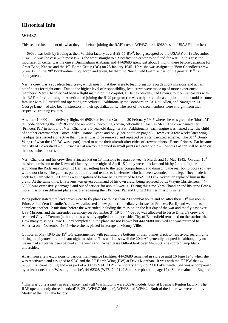## **Historical Info**

#### **WF437**

 $\overline{a}$ 

This second installment of 'what they did before joining the RAF' covers WF437 or 44-69680 as the USAAF knew her:

44-69680 was built by Boeing at their Wichita factory as a B-29-55-BW<sup>1</sup>, being accepted by the USAAF on 18 December 1944. As was the case with most B-29s she went straight to a Modification center to be fitted for war. In this case the modification center was the one at Birmingham Alabama and 44-69680 spent just about 1 month there before departing for Great Bend, Kansas and the 19<sup>th</sup> Bomb Group (BG) on 28 January 1945. Here she was assigned to Vern Chandler's crew (crew 12) in the 28<sup>th</sup> Bombardment Squadron and taken, by them, to North Field Guam as part of the general  $19<sup>th</sup> BG$ deployment.

Vern's crew was a squadron lead crew, which meant that they were to lead formations on daylight missions and act as pathfinders for night ones. Due to the higher level of responsibility, lead crews were made up of more experienced members: Vern Chandler had been a flight instructor, the co-pilot, Lt James Stevens, had flown a tour on Lancasters with the RAF before returning to America and joining the B-29 program (he was only to remain a co-pilot until he could become familiar with US aircraft and operating procedures). Additionally the Bombardier, Lt. Neil Allen, and Navigator, Lt George Lane, had also been instructors in their specializations. The rest of the crewmembers were straight from their respective training courses.

After her 10,000-mile delivery flight, 44-69680 arrived on Guam on 20 February 1945 where she was given the 'block M' tail code denoting the  $19<sup>th</sup> BG$  and the number 2, becoming known, officially at least, as M-2. The crew named her 'Princess Pat' in honour of Vern Chandler's 1-year-old daughter Pat. Additionally, each engine was named after the child of another crewmember: Bruce, Mike, Dianna Lynne and Sally (see photo on page 9). However, a few weeks later wing headquarters issued a directive that nose art was to be removed and replaced by a standardized scheme. The 314<sup>th</sup> Bomb Wing (of what the 19<sup>th</sup> BG was a part) opted to name their aircraft after cities of crewmembers. Hence Princess Pat became the City of Bakersfield – but Princess Pat always remained in small print (see crew photo – Princess Pat can still be seen on the nose wheel door!).

Vern Chandler and his crew flew Princess Pat on 13 missions to Japan between 3 March and 16 May 1945. On their 10<sup>th</sup> mission, a mission to the Kawasaki factory on the night of April  $15<sup>th</sup>$ , they were attacked and hit by 2 night fighters wounding the Radar-navigator, Lt Hermes, setting fire to the radar compartment and damaging the rear bomb doors so they would not close. The gunners put out the fire and tended to Lt Hermes who had been wounded in the leg. They made it back to Guam where Lt Hermes was hospitalized before being returned to USA. Lt Dick Ackerman replaced him in the crew. At the same time, Lt Stevens was given command of his own crew, being replaced by Lt Wayne Christensen. 44- 69680 was extensively damaged and out of service for about 3 weeks. During this time Vern Chandler and his crew flew 4 more missions in different planes before regaining their Princess Pat and flying 3 further missions in her.

Wing policy stated that lead crews were to fly planes with less than 200 combat hours and so, after their  $13<sup>th</sup>$  mission in Princess Pat Vern Chandler's crew was allocated a new plane (immediately christened Princess Pat II) and went on to complete another 12 missions before the war ended including the mission on the last day of the war and the fly past over USS Missouri and the surrender ceremony on September  $3<sup>rd</sup>$  1945. 44-69680 was allocated to Jesse Dillard's crew and renamed City of Trenton (although this was only applied to the port side, City of Bakersfield remained on the starboard). How many missions Jesse Dillard completed in the plane are not known but 44-69680 survived and was returned to America on 4 November 1945 where she as placed in storage at Victory Ville.

Of note, in May 1945 the 19<sup>th</sup> BG experimented with painting the bottoms of their planes black to help avoid searchlights during the, by now, predominant night missions. This worked so well the 20th AF generally adopted it - although by no means had all planes been painted at the war's end. When Jesse Dillard took over 44-69680 she sported lamp black undersides.

Apart from a few excursions to various maintenance facilities, 44-69680 remained in storage until 16 June 1948 when she was reactivated and assigned to SAC and the 2<sup>nd</sup> Bomb Wing (BW) at Davis Monthan. It was with the 2<sup>nd</sup> BW that 44-69680 first came to England – as part of a 90 day SAC TDY (Temporary Duty) to RAF Lakenheath. She was accompanied by at least one other 'Washington to be', 44-62328 (WF547 of 149 Sqn – see photo on page 17). She remained in England

 $1$  This was quite a rarity in itself since nearly all Washingtons were B29A models, built at Boeing's Renton factory. The RAF operated only three 'standard' B-29s, WF437 (this one), WF438 and WF442. Both of the latter two were built by Martin at their Omaha factory.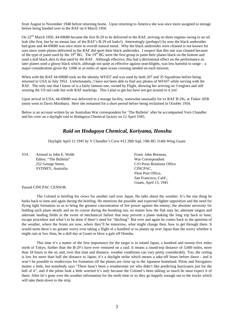from August to November 1948 before returning home. Upon returning to America she was once more assigned to storage before being handed over to the RAF on 6 March 1950.

On  $22<sup>nd</sup>$  March 1950, 44-69680 became the first B-29 to be delivered to the RAF, arriving on three engines owing to an oil leak (the first, but by no means last, of the RAF's B-29 oil leaks!). Interestingly (perhaps!) by now the black undersides had gone and 44-69680 was once more in overall natural metal. Why the black undersides were cleaned is not known for sure since some planes delivered to the RAF did sport their black undersides. I suspect that this one was cleaned because of the type of paint used by the  $19<sup>th</sup> BG$ . The  $19<sup>th</sup> BG$  were the first group to paint their planes black on the bottom and used a dull black akin to that used by the RAF. Although effective, this had a detrimental effect on the performance so later planes used a glossy black which, although not quite as effective against searchlights, was less harmful to range – a major consideration given the 3,000 or so miles of open ocean crossing needed on each mission.

When with the RAF 44-69680 took on the identity WF437 and was used by both 207 and 35 Squadrons before being returned to USA in July 1953. Unfortunately, I have not been able to find any photos of WF437 while serving with the RAF. The only one that I know of is a fairly famous one, owned by Flight, showing her arriving on 3 engines and still wearing the US tail code but with RAF markings. This I plan to get but have not got around to it yet!

Upon arrival in USA, 44-69680 was delivered to a storage facility, somewhat unusually for ex RAF B-29s, at Tinker AFB (most went to Davis Monthan). Here she remained for a short period before being reclaimed in October 1954.

Below is an account written by an Australian War correspondent for 'The Bulletin' after he accompanied Vern Chandler and his crew on a daylight raid to Hodagoya Chemical factory on 12 April 1945.

#### *Raid on Hodagoya Chemical, Koriyama, Honshu*

Daylight April 12 1945 by V Chandler's Crew #12 28th Sqd, 19th BG 314th Wing Guam

VIA Airmail to John E. Webb From: John Brennan, Editor, "The Bulletin" War Correspondent SYDNEY, Australia. CINCPAC,

252 George Street, C/O Press Relations Office Fleet Post Office, San Francisco, Calif., Guam, April 13, 1945

Passed CINCPAC CENSOR.

The Colonel is briefing his crews for another raid over Japan. He talks about the weather. It's the one thing he harks back to time and again during the briefing. He mentions the possible and expected fighter opposition and the need for flying tight formation so as to bring the greatest concentration of fire power against the enemy; the absolute necessity for holding each plane steady and on its course during the bombing run, no matter how the flak may be; alternate targets and alternate landing fields in the event of mechanical failure that may prevent a plane making the long trip back to base; escape procedure and what's to be done if there's need for "ditching". But over and again he comes back to the question of the weather, where the fronts are now, where they'll be tomorrow, what might change then, how to get through them. It would seem there's no greater worry over taking a flight of a hundred or so planes up over Japan than the worry whether it might rain at Iwo Jima, be a dull day at Guam or blow a gale off Honshu.

This time it's a matter of the first importance for the target is in inland Japan, a hundred and twenty-five miles north of Tokyo, further than the B-29's have ever ventured on a raid. It means a round-trip distance of 3,600 miles, more than 18 hours in the air and, over that time and distance, weather conditions can vary pretty considerably. Too, the ceiling is low for more than half the distance to Japan; it's a daylight strike which means a take-off hours before dawn - and it won't be possible to rendezvous for formation till the planes are close up to the Japanese homeland. Pilots and Navigators mutter a little, but somebody says "There hasn't been a weatherman yet who didn't like predicting hurricanes just for the hell of it", and if the pilots look a little worried it's only because the Colonel's been talking so much he must expect it of them. After he's gone over the weather information for the tenth time or so they go happily enough out to the trucks which will take them down to the strip.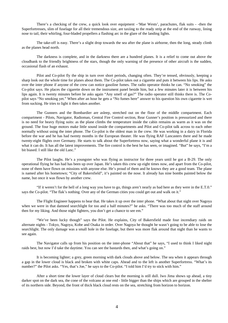There's a checking of the crew, a quick look over equipment –'Mae Wests', parachutes, flak suits - -then the Superfortresses, slim of fuselage for all their tremendous size, are taxiing to the ready strip at the end of the runway, lining nose to tail, their whirling, four-bladed propellers a flashing arc in the glare of the landing lights.

The take-off is easy. There's a slight drop towards the sea after the plane is airborne, then the long, steady climb as the planes head north.

The darkness is complete, and in the darkness there are a hundred planes. It is a relief to come out above the cloudbank to the friendly brightness of the stars, though the only warning of the presence of other aircraft is the sudden, occasional flash of an exhaust.

Pilot and Co-pilot fly the ship in turn over short periods, changing often. They're tensed, obviously, keeping a sharp look out the whole time for planes about them. The Co-pilot takes out a cigarette and puts it between his lips. He asks over the inter phone if anyone of the crew can notice gasoline fumes. The radio operator thinks he can. "No smoking" the Co-pilot says. He places the cigarette down on the instrument panel beside him, but a few minutes later it is between his lips again. It is twenty minutes before he asks again "Any smell of gas?" The radio operator still thinks there is. The Copilot says "No smoking yet." When after an hour he gets a "No fumes here" answer to his question his own cigarette is wet from sucking. He tries to light it then takes another.

The Gunners and the Bombardier are asleep, stretched out on the floor of the middle compartment. Each compartment - Pilots, Navigator, Radioman, Central Fire Control section, Rear Gunner's position is pressurized and there is no need for heavy flying suits: as the plane climbs the temperature inside the cabin remains as warm as it was on the ground. The four huge motors make little sound inside the compartments and Pilot and Co-pilot talk across to each other normally without using the inter phone. The Co-pilot is the oldest man in the crew. He was working in a dairy in Florida before the war and he has had twenty months in the European theater. He was flying RAF Lancasters there and he made twenty-eight flights over Germany. He starts to talk about the Superfortress now, saying what a wonderful plane it is and what it can do. It has all the latest improvements. The fire control is the best he has seen, or imagined. "But" he says, "I'm a bit biased. I still like the old Lanc."

The Pilot laughs. He's a youngster who was flying as instructor for three years until he got a B-29. The only operational flying he has had has been up over Japan. He's taken this crew up eight times now, and apart from the Co-pilot, none of them have flown on missions with anyone else. He's proud of them and he knows they are a good team. The plane is named after his hometown; "City of Bakersfield", it's painted on the nose. It already has nine bombs painted below the name, but once it was flown by another crew.

"If it weren't for the hell of a long way you have to go, things aren't nearly as bad here as they were in the E.T.0." says the Co-pilot. "The flak's nothing. Over any of the German cities you could get out and walk on it."

The Flight Engineer happens to hear that. He takes it up over the inter phone. "What about that night over Nagoya when we were in that damned searchlight for too and a half minutes?" he asks. "There was too much of the staff around then for my liking. And those night fighters, you don't get a chance to see em."

"We've been lucky though" says the Pilot. He explains, City of Bakersfield made four incendiary raids on alternate nights - Tokyo, Nagoya, Kobe and Osaka in order. Over Nagoya he thought he wasn't going to be able to lose the searchlight. The only damage was a small hole in the fuselage, but there was more flak around that night than he wants to see again.

The Navigator calls up from his position on the inter-phone "About that" he says, "I used to think I liked night raids best, but now I'd take the daytime. You can see the bastards then, and what's going on."

It is becoming lighter; a grey, green morning with dark clouds above and below. The sea when it appears through a gap in the lower cloud is black and broken with white caps. Ahead and to the left is another Superfortress. "What's its number?" the Pilot asks. "Yes, that's Joe," he says to the Co-pilot. "I told him I'd try to stick with him."

After a short time the lower layer of cloud clears but the morning is still dull. Iwo Jima shows up ahead, a tiny darker spot on the dark sea, the cone of the volcano at one end - little bigger than the ships which are grouped in the shelter of its northern side. Beyond, the front of thick black cloud rests on the sea, stretching from horizon to horizon.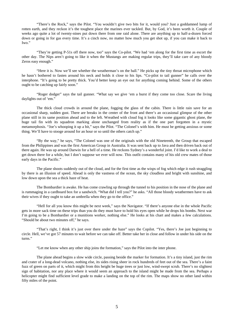"There's the Rock," says the Pilot. "You wouldn't give two bits for it, would you? Just a goddamned lump of rotten earth, and they reckon it's the toughest place the marines ever tackled. But, by God, it's been worth it. Couple of weeks ago quite a lot of twenty-nines put down there from one raid alone. There are anything up to half-a-dozen forced down or going in for gas every time. It's a cinch now, no matter how much you get shot up, if you can make it back to Iwo."

"They're getting P-51s off there now, too" says the Co-pilot. "We had 'em along for the first time as escort the other day. The Nips aren't going to like it when the Mustangs are making regular trips, they'll take care of any bloody Zeros easy enough."

"Here it is. Now we'll see whether the weatherman's on the ball." He picks up the tiny throat microphone which he hasn't bothered to fasten around his neck and holds it close to his lips. "Co-pilot to tail gunner" he calls over the interphone. "It's going to be pretty thick. You'd better keep an eye out for anything coming behind. Some of the others ought to be catching up fairly soon."

"Roger dodger" says the tail gunner. "What say we give 'em a burst if they come too close. Scare the living daylights out of 'em."

The thick cloud crowds in around the plane, fogging the glass of the cabin. There is little rain save for an occasional sharp, sudden gust. There are breaks in the center of the front and there's an occasional glimpse of the other plane still in its same position ahead and to the left. Wreathed with cloud fog it looks like some gigantic ghost plane, the huge tail fin with its squadron marking alone unchanged from reality as if the one part forgotten in a mystic metamorphosis. "Joe's whooping it up a bit," says the Pilot. "The Colonel's with him. He must be getting anxious or some thing. We'll have to stooge around for an hour or so until the others catch up."

"By the way," he says, "The Colonel was one of the originals with the old Nineteenth, the Group that escaped from the Philippines and was the first American Group in Australia. It was sent back up to Java and then driven back out of there again. He was up around Darwin for a hell of a time. He reckons Sydney's a wonderful joint. I'd like to work a deal to get down there for a while, but I don't suppose we ever will now. This outfit contains many of his old crew mates of those early days in the Pacific."

The plane shoots suddenly out of the cloud, and for the first time as the wisps of fog which edge it rush straggling by there is an illusion of speed. Ahead is only the vastness of the ocean, the sky cloudless and bright with sunshine, and low down upon the sea a thick haze of heat.

The Bombardier is awake. He has come crawling up through the tunnel to his position in the nose of the plane and is rummaging in a cardboard box for a sandwich. "What did I tell you?" he asks. "All those bloody weathermen have to ask their wives if they ought to take an umbrella when they go to the office."

"Hell for all you know this might be next week," says the Navigator. "If there's anyone else in the whole Pacific gets in more sack time on these trips than you do they must have to hold his eyes open while he drops his bombs. Next war I'm going to be a Bombardier or a munitions worker, nothing else." He looks at his chart and makes a few calculations. "Should be about two minutes off," he says.

"That's right, I think it's just over there under the haze" says the Copilot. "Yes, there's Joe just beginning to circle. Hell, we've got 57 minutes to wait before we can take off. Better take her in close and follow in under his side on the turns."

"Let me know when any other ship joins the formation," says the Pilot into the inter phone.

The plane ahead begins a slow wide circle, passing beside the marker for formation. It's a tiny island, just the rim and crater of a long-dead volcano, nothing else, its sides rising sheer in rock hundreds of feet out of the sea. There's a faint fuzz of green on parts of it, which might from this height be huge trees or just low, wind-swept scrub. There's no slightest sign of habitation, nor any place where it would seem an approach to the island might be made from the sea. Perhaps a helicopter might find sufficient level grade to make a landing on the top of the rim. The maps show no other land within fifty miles of the point.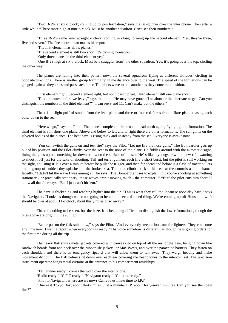"Two B-29s at six o'clock; coming up to join formation," says the tail-gunner over the inter phone. Then after a little while "Three more high at nine o'clock. Must be another squadron. Can't see their numbers."

"Three B-29s same level at eight o'clock, coming in close; forming up the second element. Yes, they're three, five and seven." The fire control man makes his report.

"The first element has all its planes."

"The second element is still two short. It's closing formation."

"Only three planes in the third element yet."

"One B-29 high at six o'clock. Must be a straggler from' the other squadron. Yes, it's going over the top, circling the other way."

The planes are falling into their pattern now, the several squadrons flying at different altitudes, circling in opposite directions. There is another group forming up in the distance over to the west. The speed of the formations can be gauged again as they cross and pass each other. The pilots wave to one another as they come into position.

"First element right. Second element right, but not closed up yet. Third element still one plane short."

"Three minutes before we leave," says the pilot. "He may have gone off to abort or the alternate target. Can you distinguish the numbers in the third element?" "I can see 9 and 11. Can't make out the others."

There is a slight puff of smoke from the lead plane and three or four red flares from a flare pistol chasing each other down to the sea.

"Here we go," says the Pilot. The planes complete their turn and head north again, flying tight in formation. The third element is still short one plane. Above and below to left and to right there are other formations. The sun glints on the silvered bodies of the planes. The heat haze is rising thick and unsteady from the sea. Everyone is awake now.

"You can switch the guns on and test fire" says the Pilot. "Let me fire the nose guns." The Bombardier gets up out of his position and the Pilot climbs over the seat to the nose of the plane. He fiddles around with the automatic sight, lining the guns up on something far down below on the surface of the sea. He' s like a youngster with a new rifle wanting to shoot it off just for the sake of shooting. Tail and turret gunners each fire a short burst, but the pilot is still working on the sight, adjusting it. It's over a minute before he pulls the trigger, and then far ahead and below is a flash of tracer bullets and a group of sudden tiny splashes on the broken sea. The pilot climbs back to his seat at the controls a little shamefacedly. "I didn't hit the wave I was aiming at," he says. The Bombardier tries to explain: "If you're shooting at something stationary - or practically stationary; those waves aren't moving much - the computer..." "But" the pilot cuts him short "I know all that," he says, "But I just can't hit 'em."

The haze is thickening and reaching higher into the air. "This is what they call the Japanese noon-day haze," says the Navigator. "Looks as though we're not going to be able to see a damned thing. We're coming up off Honshu now. It should be over at about 11 o'clock, about thirty miles or so away."

There is nothing to be seen, but the haze. It is becoming difficult to distinguish the lower formations, though the ones above are bright in the sunlight.

"Better put on the flak suits now," says the Pilot. "And everybody keep a look-out for fighters. They can come any time now. I want a report when everybody is ready." His voice somehow is different, as though he is giving orders for the first time during all the trip.

The heavy flak suits - metal jackets covered with canvas - go on top of all the rest of the gear, hanging down like sandwich boards front and back over the rubber life jackets, or Mae Wests, and over the parachute harness. They fasten on each shoulder, and there is an emergency ripcord that will allow them to fall away. They weigh heavily and make movement difficult. The flak helmets fit down over each ear covering the headphones to the intercom set. The precision instrument operator hangs metal curtains at the entrance to his compartment amidships.

"Tail gunner ready," comes the word over the inter phone.

"Radio ready." "C.F.C ready." "Navigator ready." "Co-pilot ready."

"Pilot to Navigator; where are we now? Can you estimate time to I.P.?

"Due east Tokyo Bay, about thirty miles. Just a minute. I. P. about forty-seven minutes. Can you see the coast

line?"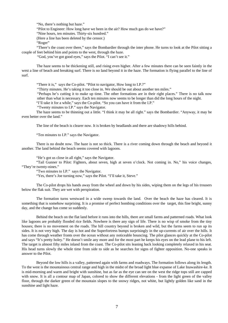"No, there's nothing but haze."

"Pilot to Engineer: How long have we been in the air? How much gas do we have?"

"Nine hours, ten minutes. Thirty-six hundred."

(Here a line has been deleted by the censor.)

"Roger"

"There's the coast over there," says the Bombardier through the inter phone. He turns to look at the Pilot sitting a couple of feet behind him and points to the west, through the haze.

"God, you've got good eyes," says the Pilot. "I can't see it."

The haze seems to be thickening still, and rising even higher. After a few minutes there can be seen faintly in the west a line of beach and breaking surf. There is no land beyond it in the haze. The formation is flying parallel to the line of surf.

"There it is," says the Co-pilot. "Pilot to navigator, How long to I.P.?"

"Thirty minutes. He's taking it too close in. We should be out about another ten miles."

"Perhaps he's cutting it to make up time. The other formations are in their right places." There is no talk now other than what is necessary. Each ten minutes now seems to be longer than did the long hours of the night.

"I'll take it for a while," says the Co-pilot. "So you can have it from the I.P."

"Twenty minutes to I.P." says the Navigator.

The haze seems to be thinning out a little. "I think it may be all right." says the Bombardier. "Anyway, it may be even better over the land."

The line of the beach is clearer now. It is broken by headlands and there are shadowy hills behind.

"Ten minutes to I.P." says the Navigator.

There is no doubt now. The haze is not so thick. There is a river coming down through the beach and beyond it another. The land behind the beach seems covered with lagoons.

"He's got us close in all right," says the Navigator.

"Tail Gunner to Pilot: Fighters, about seven, high at seven o'clock. Not coming in. No," his voice changes, "They're twenty-nines."

"Two minutes to I.P." says the Navigator.

"Yes, there's Joe turning now," says the Pilot. "I'll take it, Steve."

The Co-pilot drops his hands away from the wheel and down by his sides, wiping them on the legs of his trousers below the flak suit. They are wet with perspiration.

The formation turns westward in a wide sweep towards the land. Over the beach the haze has cleared. It is something that is somehow surprising. It is a promise of perfect bombing conditions over the target, this fine bright, sunny day, and the change has come so suddenly.

Behind the beach on the flat land before it runs into the hills, there are small farms and patterned roads. What look like lagoons are probably flooded rice fields. Nowhere is there any sign of life. There is no wisp of smoke from the tiny houses; there is no movement on the roads. The hill country beyond is broken and wild, but the farms seem to run up its sides. It is not very high. The day is hot and the Superfortress bumps surprisingly in the up-currents of air over the hills. It has come through weather fronts over the ocean without any noticeable bouncing. The pilot glances quickly at the Co-pilot and says "It's pretty holey." He doesn't smile any more and for the most part he keeps his eyes on the lead plane to his left. The target is almost fifty miles inland from the coast. The Co-pilot sits leaning back looking completely relaxed in his seat. His head turns slowly the whole time from side to side as he searches for signs of fighter opposition. No-one speaks in answer to the Pilot.

Beyond the low hills is a valley, patterned again with farms and roadways. The formation follows along its length. To the west is the mountainous central range and high in the midst of the broad light blue expanse of Lake Inawashire-ke. It is mid-morning and warm and bright with sunshine, but as far as the eye can see on the west the ridge tops still are capped with snow. It is all a contour map of Japan, colored to show the different elevations - from the light green of the valley floor, through the darker green of the mountain slopes to the snowy ridges, not white, but lightly golden like sand in the sunshine and light haze.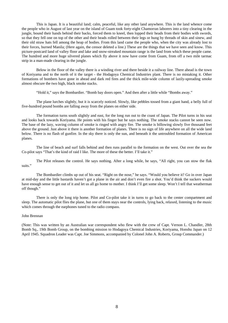This is Japan. It is a beautiful land; calm, peaceful, like any other land anywhere. This is the land whence come the people who in August of last year on the island of Guam took forty-eight Chamorran laborers into a tiny clearing in the jungle, bound their hands behind their backs, forced them to kneel, then lopped their heads from their bodies with swords, so that they fell one on top of the other and their heads rolled between their legs or hung by threads of skin and sinew, and their old straw hats fell among the heap of bodies. From this land came the people who, when the city was already lost to their forces, burned Manila; (Here again, the censor deleted a line.) These are the things that we have seen and know. This picture-postcard land of valley floor and lake and snow-streaked mountain range is the land from which these people came. The hundred and more huge silvered planes which fly above it now have come from Guam, from off a two mile tarmac strip in a man-made clearing in the jungle.

Below in the floor of the valley there is a winding river and there beside it a railway line. There ahead is the town of Koriyama and to the north of it the target - the Hodagoya Chemical Industries plant. There is no mistaking it. Other formations of bombers have gone in ahead and dark red fires and the thick mile-wide column of lazily-spreading smoke almost obscure the two high, black smoke stacks.

"Hold it," says the Bombardier. "Bomb bay doors open." And then after a little while "Bombs away."

The plane lurches slightly, but it is scarcely noticed. Slowly, like pebbles tossed from a giant hand, a belly full of five-hundred pound bombs are falling away from the planes on either side.

The formation turns south slightly and east, for the long run out to the coast of Japan. The Pilot turns in his seat and looks back towards Koriyama. He points with his finger but he says nothing. The smoke stacks cannot be seen now. The base of the lazy, waving column of smoke is ringed with angry fire. The smoke is billowing slowly five thousand feet above the ground. Just above it there is another formation of planes. There is no sign of life anywhere on all the wide land below. There is no flash of gunfire. In the sky there is only the sun, and beneath it the untroubled formation of American planes.

The line of beach and surf falls behind and then runs parallel to the formation on the west. Out over the sea the Co-pilot says "That's the kind of raid I like. The more of these the better. I'll take it."

The Pilot releases the control. He says nothing. After a long while, he says, "All right, you can stow the flak suits."

The Bombardier climbs up out of his seat. "Right on the nose," he says. "Would you believe it? Go in over Japan at mid-day and the little bastards haven't got a plane in the air and don't even fire a shot. You'd think the suckers would have enough sense to get out of it and let us all go home to mother. I think I'll get some sleep. Won't I tell that weatherman off though."

There is only the long trip home. Pilot and Co-pilot take it in turns to go back to the center compartment and sleep. The automatic pilot flies the plane, but one of them stays near the controls, lying back, relaxed, listening to the music which comes through the earphones tuned to the radio compass.

#### John Brennan

(Note: This was written by an Australian war correspondent who flew with the crew of Capt. Vernon L. Chandler, 28th Bomb Sq., 19th Bomb Group, on the bombing mission to Hodagoya Chemical Industries, Koriyama, Honshu Japan on 12 April 1945. Squadron Leader was Capt. Joe Simmons, accompanied by Colonel John A. Roberts, Group Commander.)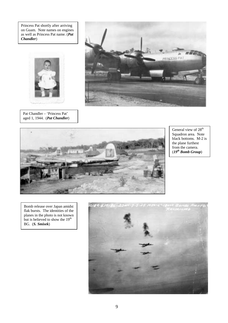Princess Pat shortly after arriving on Guam. Note names on engines as well as Princess Pat name. (*Pat Chandler*)



Pat Chandler – 'Princess Pat' aged 1, 1944. (*Pat Chandler*)





General view of  $28^{th}$ Squadron area. Note black bottoms. M-2 is the plane furthest from the camera. (*19th Bomb Group*)

Bomb release over Japan amidst flak bursts. The identities of the planes in the photo is not known but is believed to show the  $19<sup>th</sup>$ BG. (*S. Smisek*)

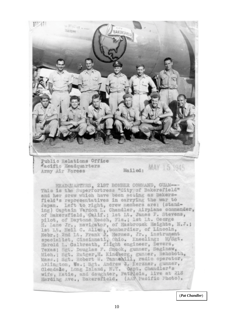

(*Pat Chandler* )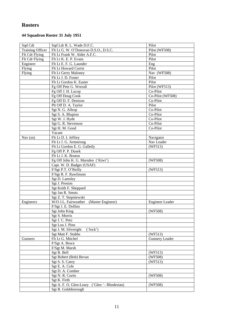## **Rosters**

### **44 Squadron Roster 31 July 1951**

| Sqd Cdr                 | Sqd Ldr R. L. Wade D.F.C.                       | Pilot                  |
|-------------------------|-------------------------------------------------|------------------------|
| <b>Training Officer</b> | Flt Lt G. W. O'Donovan D.S.O., D.S.C.           | Pilot (WF508)          |
| Flt Cdr Flying          | Flt Lt Frank W. Alder A.F.C.                    | Pilot                  |
| Flt Cdr Flying          | Flt Lt K. E. P. Evans                           | Pilot                  |
| Engineer                | Flt Lt E. F. G. Launder                         | Eng                    |
| Flying                  | Flt Lt Howard Currie                            | Pilot                  |
| Flying                  | Flt Lt Gerry Maloney                            | Nav (WF508)            |
|                         | Flt Lt J. D. Foster                             | Pilot                  |
|                         | Flt Lt Gordon K. Easter                         | Pilot                  |
|                         | Fg Off Pete G. Worrall                          | Pilot (WF513)          |
|                         | Fg Off J. H. Lucop                              | Co-Pilot               |
|                         | Fg Off Doug Cook                                | Co-Pilot (WF508)       |
|                         | Fg Off D. F. Denison                            | Co-Pilot               |
|                         | Plt Off D. A. Taylor                            | Pilot                  |
|                         | Sgt N. G. Allsop                                | Co-Pilot               |
|                         | Sgt S. A. Blupton                               | Co-Pilot               |
|                         | Sgt W. J. Hyde                                  | Co-Pilot               |
|                         | Sgt G. R. Stevenson                             | Co-Pilot               |
|                         | Sgt H. M. Good                                  | Co-Pilot               |
|                         | Vacant                                          |                        |
| Nav $(sn)$              | Flt Lt D. I. Jeffrey                            | Navigator              |
|                         | Flt Lt J. G. Armstrong                          | Nav Leader             |
|                         | Flt Lt Gordon E. G. Galletly                    | (WF513)                |
|                         | Fg Off P. P. Dusek                              |                        |
|                         | Flt Lt J. K. Bruton                             |                        |
|                         | Fg Off John K. G. Marsden ('Kiwi')              | (WF508)                |
|                         | Capt. W. D. Badger (USAF)                       |                        |
|                         | F/Sgt P.T. O'Reilly                             | (WF513)                |
|                         | F/Sgt R. F. Rawlinson                           |                        |
|                         | Sgt D. Lamsley                                  |                        |
|                         | Sgt J. Preston                                  |                        |
|                         | Sgt Keith F. Sheppard                           |                        |
|                         | Sgt Jan R. Smuts                                |                        |
|                         | Sgt Z. T. Stepniewski                           |                        |
| Engineers               | W/O J.L. Fairweather<br>(Master Engineer)       | <b>Engineer Leader</b> |
|                         | F/Sgt J. E. Dollins                             |                        |
|                         | Sgt John King                                   | (WF508)                |
|                         | Sgt S. Morris                                   |                        |
|                         | Sgt J. C. Peto                                  |                        |
|                         | Sgt Lou J. Pinn                                 |                        |
|                         | Sgt J. M. Silveright<br>('Jock')                |                        |
|                         | Sgt Matt F. Stubbs                              | (WF513)                |
| Gunners                 | Flt Lt G. Mitchel                               | <b>Gunnery Leader</b>  |
|                         | F/Sgt A. Bruce                                  |                        |
|                         | F/Sgt M. Marsh                                  |                        |
|                         | Sgt R. Bell                                     | (WF513)                |
|                         | Sgt Robert (Bob) Bevan                          | (WF508)                |
|                         | Sgt S. S. Carey                                 | (WF513)                |
|                         | Sgt E. A. Cole                                  |                        |
|                         | Sgt D. A. Comber                                |                        |
|                         | Sgt N. R. Curtis                                | (WF508)                |
|                         | Sgt K. Firth                                    |                        |
|                         | Sgt A. F. O. Glen-Leary<br>('Glen '- Rhodesian) | (WF508)                |
|                         | Sgt R. Goldsborough                             |                        |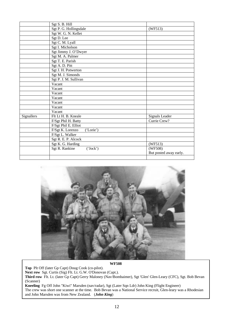|            | Sgt S. B. Hill                |                        |  |  |
|------------|-------------------------------|------------------------|--|--|
|            | Sgt P. G. Hollingsdale        | (WF513)                |  |  |
|            | Sgt W. G. N. Kellet           |                        |  |  |
|            | Sgt D. Lee                    |                        |  |  |
|            | Sgt C. M. Lyall               |                        |  |  |
|            | Sgt I. Micholson              |                        |  |  |
|            | Sgt Jimmy J. O'Dwyer          |                        |  |  |
|            | Sgt M. A. Palmer              |                        |  |  |
|            | Sgt T. E. Parish              |                        |  |  |
|            | Sgt A. D. Pitt                |                        |  |  |
|            | Sgt J. H. Potwerton           |                        |  |  |
|            | Sgt M. J. Simonds             |                        |  |  |
|            | Sgt P. J. M. Sullivan         |                        |  |  |
|            | Vacant                        |                        |  |  |
|            | Vacant                        |                        |  |  |
|            | Vacant                        |                        |  |  |
|            | Vacant                        |                        |  |  |
|            | Vacant                        |                        |  |  |
|            | Vacant                        |                        |  |  |
|            | Vacant                        |                        |  |  |
| Signallers | Flt Lt H. B. Kneale           | Signals Leader         |  |  |
|            | F/Sgt Phil H. Batty           | Currie Crew?           |  |  |
|            | F/Sgt Phil E. Elliot          |                        |  |  |
|            | F/Sgt K. Lorenzo<br>('Lorie') |                        |  |  |
|            | F/Sgt L. Walker               |                        |  |  |
|            | Sgt R. E. P. Alcock           |                        |  |  |
|            | Sgt K. G. Harding             | (WF513)                |  |  |
|            | Sgt R. Rankine<br>('Jock')    | (WF508)                |  |  |
|            |                               | But posted away early. |  |  |
|            |                               |                        |  |  |



**WF508**

**Top** Plt Off (later Gp Capt) Doug Cook (co-pilot). **Next row** Sgt. Curtis (Sig) Flt. Lt. G.W. O'Donovan (Capt.). **Third row** Flt. Lt. (later Gp Capt) Gerry Maloney (Nav/Bombaimer), Sgt 'Glen' Glen-Leary (CFC), Sgt. Bob Bevan (Scanner) **Kneeling** Fg Off John "Kiwi" Marsden (nav/radar), Sgt (Later Sqn Ldr) John King (Flight Engineer)

The crew was short one scanner at the time. Bob Bevan was a National Service recruit, Glen-leary was a Rhodesian and John Marsden was from New Zealand. (*John King*)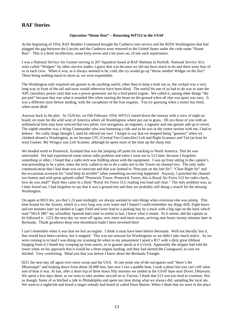### **RAF Stories**

#### **Operation "Home Run" – Returning WF513 to the USAF**

At the beginning of 1954, RAF Bomber Command brought the Canberra into service and the B29A Washingtons that had plugged the gap between the Lincoln and the Canberra were returned to the United States under the code name "Home Run". This is a brief recollection, some forty-seven and a bit years on, of one such repatriation.

I was a National Service Air Gunner serving in 207 Squadron based at RAF Marham in Norfolk. National Service AGs were called "Widgets" by other aircrew trades, I guess that was because we did not have much to do and there were four of us in each crew. When it was, as it always seemed to be, cold, the cry would go up "throw another Widget on the fire!" There being nothing much to shoot at, we were expendable.

The Washington only required one gunner to do anything useful, other than to keep a look out as, the cockpit was a very long way in front of the tail and turns would otherwise have been blind. The useful bit one of us had to do was to start the APU (auxiliary power unit) that was a power generator run by a ford petrol engine. We called it, among other things "the put putt" because that was what it sounded like when starting the beast on the ground when all else was quiet was easy. It was a different story before landing, with the cacophony of the four engines. You try guessing when a motor has fired, when stone deaf.

Anyway back to the plot. At 1520 hrs. on l5th February 1954, WF513 roared down the runway with a crew of eight on board, en route for the wild west of America where all Washingtons where put out to grass. Oh yes those of you with an arithmetical bent may have noticed that two pilots, two navigators, an engineer, a signaler and one gunner add up to seven. The eighth member was a Wing Commander who was bumming a ride and as he was in the centre section with me, I had to behave. No crafty drags thought I, until he offered me one! I forgot to say that we stopped being "gunners" when we climbed aboard a Washington, as we became CFC (Central Fire Controller) Left and Right Scanners and Tail (at least he was) Gunner. My Wingco was Left Scanner, although he spent most of the time up the sharp end.

We headed north to Prestwick, Scotland that was the jumping off point for tracking to North America. This bit was uneventful. We had experienced some minor radio problem and when I went out to 513 later, because I forgotten something or other, I found that a radio tech was fiddling about with the equipment. I was up front sitting in the captain's seat pretending to be a pilot, when the tech, called to me to do a radio test to the Tower on channel two. The only radio communication that I had done was on intercom and that was limited to "Putt putt on the line Sir", "Clear Right Sir" and the occasional acronym for "send help its terrible" when something un-nerving happened. Anyway, I punched the channel two button and with great aplomb called "Prestwick Tower, Prestwick Tower, this is Royal Air Force 513 for radio check, how do you read?" Back they came in a flash "Royal Air Force 513, reading you load and clear." The only problem was, as I later found out, I had forgotten to say that it was a ground test and they are probably still doing a search for the missing Washington.

On again at 0023 hrs, yes that's 23 past midnight, we always seemed to start things when everyone else was asleep. This time bound for the Azores, which is a very long way over water and I hoped I could remember my dingy drill. Eight hours and ten minutes later we landed at Lages Field and were lead to a parking bay by a truck with a big sign on the back which read "SIGA ME" my schoolboy Spanish had come in useful at last, I knew what it meant. So it seems, did the captain as he followed it. 1251 the next day we were off again, over more and more ocean, arriving nine hours twenty minutes later in Bermuda. Thank goodness deep vein thrombosis hadn't been invented then!

I can't remember when it was that we lost an engine. I think it must have been before Bermuda. Well not literally lost it, that would have been careless, but it stopped. This was not unusual for Washingtons so we didn't take much notice. As we were coming in to land I was doing my scanning bit when to my amazement I spied a B17 with a dirty great lifeboat hanging from it's bomb bay creeping up from astern, or in gunner speak at 6 o'clock. Apparently the skipper had told the tower when on his approach that it would be a three engine landing, and they had alerted the Coastguard, in case we ditched. Very comforting. Mind you that was before I knew about the Bermuda Triangle.

0251 the next day off again over more ocean and the USA. At one point one of the navigators said "there's the Mississippi" and looking down from about 20,000 feet, lam sure I saw a paddle boat. I took a photo but you can't tell what sort of boat it was. At last, after a short trip of three hours fifty minutes we landed at the USAF base near Dover, Delaware, We spent a few days there, as we were to take another aircraft on to Tucson. I think that 513 was too tired to continue. Not us though. Some of us hitched a ride to Philadelphia and spent our time doing what we always did, sampling the local ale. We went to a nightclub and heard a singer nobody had heard of called Dean Martin. When I think that we were in the place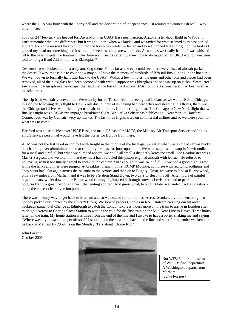where the USA was born with the liberty bell and the declaration of independence just around the corner! Oh well I was only nineteen.

1830 on 24<sup>th</sup> February we headed for Davis Monthan USAF Base near Tucson, Arizona, a ten-hour flight in WF559. I can't remember the time differences but it was still dark when we landed and we taxied for what seemed ages past parked aircraft. For some reason I had to climb into the bomb bay while we taxied and as we lurched left and right on the brakes I grazed my head on something and it started to bleed, as scalps are wont to do. As soon as we finally halted, I was whisked off to the base hospital for treatment. Our American friends certainly knew how to do us proud. In UK, I would have been told to bung a Band Aid on it or was Elastoplast?

Next morning we looked out on a truly amazing scene. For as far as the eye could see, there were rows of aircraft parked in the desert. It was impossible to count how may but I have the memory of hundreds of B29 tail fins glinting in the hot sun. We went down to formally hand 559 back to the USAF. Within a few minutes, the guns and other bits and pieces had been removed, all of the plexiglass had been cocooned with what I suppose was fibreglass and she was up on jacks. Years later I saw a small paragraph in a newspaper that said that the last of the Arizona B29s from the Arizona desert had been used as missile target.

The trip back was fairly uneventful. We went by bus to Tucson Airport, seeing real Indians as we went, DC6 to Chicago, missed the following days flight to New York due to three of us having bad headaches and sleeping in. Oh yes, there was the Chicago taxi driver who tried to get us to airport on time. I'd rather forget that. The Chicago to New York flight that we finally caught was a DC6B "champagne breakfast" flight. Well Alka Seltser has bubbles too! New York to Hartford, Connecticut, was by Convair — very up market. The last three flights were on commercial airlines and so we were spoilt for what was to come.

Hartford was close to Westover USAF Base, the main US base for MATS, the Military Air Transport Service and I think all US service personnel would have left the States for Europe from there.

ACM was not the last word in comfort with freight in the middle of the fuselage, we sat in what was a sort of canvas bucket bench strung over aluminium tube that cut into your legs, for hour upon hour, We were supposed to stop in Newfoundland for a meal and a refuel, but when we climbed aboard, we could all smell a distinctly kerosene smell. The Loadmaster was a Master Sergeant and we told him that they must have refueled this piston-engined aircraft with jet fuel. He refused to believe us, at first but finally agreed to speak to the captain. Sure enough, it was J4 jet fuel. So we had a good night's rest while the tanks and lines were purged. At breakfast, I saw my first RCMP Mountie, complete with red tunic, jodhpurs and "boy scout hat". On again across the Atlantic to the Azores and then on to Blighty. Great, we were to land at Burtonwood, only a few miles from Marham and it was to be a Station Stand Down, two days to sleep this off! After hours of painful legs and rears, we let down to the Burtonwood runway, I glimpsed it through snow as I twisted round to peer out of the port. Suddenly a great roar of engines — the landing aborted! And guess what, two hours later we landed back at Prestwick, being the closest clear diversion point.

There was no easy way to get back to Marham and so we headed for our homes. Across Scotland by train, ensuring that nobody picked our 'chutes by the silver "D" ring. We looked proper Charlies in RAF Uniform carrying our kit and a backpack parachute! Change at Edinburgh to catch the London Express, hours more on the train to arrive in London after midnight. Across to Charing Cross Station to wait in the cold for the first train on the Mid Kent Line to Hayes. Three hours later, on the train. My home station was three from the end of the line and I awoke to have a porter shaking me and saying "Where was it you wanted to get off son?" I stood up on the next train back up the line and slept for the entire weekend to be back at Marham by 2359 hrs on the Monday. Talk about "Home Run"

John Forster October 2001



Not WF513 but reminiscent of WF513s final departure! A Washington departs from Marham. (*John Forster*)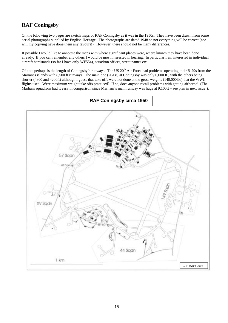## **RAF Coningsby**

On the following two pages are sketch maps of RAF Coningsby as it was in the 1950s. They have been drawn from some aerial photographs supplied by English Heritage. The photographs are dated 1948 so not everything will be correct (nor will my copying have done them any favours!). However, there should not be many differences.

If possible I would like to annotate the maps with where significant places were, where known they have been done already. If you can remember any others I would be most interested in hearing. In particular I am interested in individual aircraft hardstands (so far I have only WF554), squadron offices, street names etc.

Of note perhaps is the length of Coningsby's runways. The US  $20<sup>th</sup>$  Air Force had problems operating their B-29s from the Marianas islands with 8,500 ft runways. The main one (26/08) at Coningsby was only 6,000 ft, with the others being shorter (4800 and 4200ft) although I guess that take offs were not done at the gross weights (140,000lbs) that the WWII flights used. Were maximum weight take offs practiced? If so, does anyone recall problems with getting airborne! (The Marham squadrons had it easy in comparison since Marham's main runway was huge at 9,100ft – see plan in next issue!).



**RAF Coningsby circa 1950**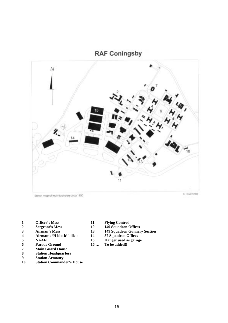**RAF Coningsby** 



Sketch map of technical area circa 1950

- **1 Officer's Mess 11 Flying Control**
- 
- 
- **4 Airman's 'H block' billets 14 57 Squadron Offices**
- 
- **6** Parade Ground 16 ...
- **7 Main Guard House**
- **8 Station Headquarters**
- **9 Station Armoury**
- **10 Station Commander's House**
- 
- 2 Sergeant's Mess 12 149 Squadron Offices<br>3 Airman's Mess 13 149 Squadron Gunner
	- **3 Airman's Mess 13 149 Squadron Gunnery Section**
		-
- 5 **NAAFI** 15 **Hanger used as garage**<br>6 **Parade Ground** 16 ... To be added!!
	-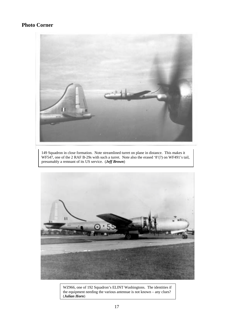## **Photo Corner**



149 Squadron in close formation. Note streamlined turret on plane in distance. This makes it WF547, one of the 2 RAF B-29s with such a turret. Note also the erased '8'(?) on WF491's tail, presumably a remnant of its US service. (*Jeff Brown*)



WZ966, one of 192 Squadron's ELINT Washingtons. The identities if the equipment needing the various antennae is not known – any clues? (*Julian Horn*)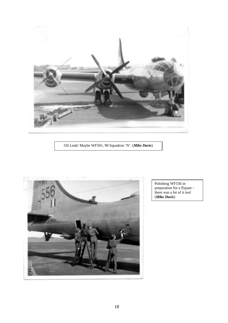

Oil Leak! Maybe WF501, 90 Squadron 'N'. (*Mike Davis*)



Polishing WF556 in preparation for a flypast – there was a lot of it too! (*Mike Davis*)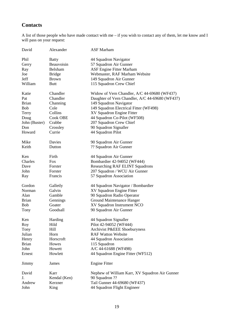# **Contacts**

A list of those people who have made contact with me – if you wish to contact any of them, let me know and I will pass on your request:

| David                 | Alexander       | <b>ASF Marham</b>                                         |
|-----------------------|-----------------|-----------------------------------------------------------|
| Phil                  | <b>Batty</b>    | 44 Squadron Navigator                                     |
| Gerry                 | Beauvoisin      | 57 Squadron Air Gunner                                    |
| Ray                   | Belsham         | <b>ASF Engine Fitter Marham</b>                           |
| Joe                   | <b>Bridge</b>   | Webmaster, RAF Marham Website                             |
| Jeff                  | <b>Brown</b>    | 149 Squadron Air Gunner                                   |
| William               | <b>Butt</b>     | 115 Squadron Crew Chief                                   |
|                       |                 |                                                           |
| Katie                 | Chandler        | Widow of Vern Chandler, A/C 44-69680 (WF437)              |
| Pat                   | Chandler        | Daughter of Vern Chandler, A/C 44-69680 (WF437)           |
| <b>Brian</b>          | Channing        | 149 Squadron Navigator                                    |
| <b>Bob</b>            | Cole            | 149 Squadron Electrical Fitter (WF498)                    |
| Terry                 | Collins         | XV Squadron Engine Fitter                                 |
| Doug                  | Cook OBE        | 44 Squadron Co-Pilot (WF508)                              |
| John (Buster)         | Crabbe          | 207 Squadron Crew Chief                                   |
| Don                   | Crossley        | 90 Squadron Signaller                                     |
| Howard                | Currie          | 44 Squadron Pilot                                         |
| Mike                  | Davies          | 90 Squadron Air Gunner                                    |
| Keith                 | Dutton          | ?? Squadron Air Gunner                                    |
|                       |                 |                                                           |
| Ken                   | Firth           | 44 Squadron Air Gunner                                    |
| Charles               | <b>Fox</b>      | Bombardier 42-94052 (WF444)                               |
| Dave                  | Forster         | <b>Researching RAF ELINT Squadrons</b>                    |
| John                  | Forster         | 207 Squadron / WCU Air Gunner                             |
| Ray                   | Francis         | 57 Squadron Association                                   |
| Gordon                | Galletly        | 44 Squadron Navigator / Bombardier                        |
| Norman                | Galvin          | XV Squadron Engine Fitter                                 |
| Alan                  | Gamble          | 90 Squadron Radio Operator                                |
| <b>Brian</b>          | Gennings        | Ground Maintenance Hanger                                 |
| <b>Bob</b>            | Goater          | XV Squadron Instrument NCO                                |
| Tony                  | Goodsall        | 90 Squadron Air Gunner                                    |
| Ken                   |                 |                                                           |
|                       | Harding<br>Hild | 44 Squadron Signaller                                     |
| Roy                   | Hill            | Pilot 42-94052 (WF444)                                    |
| Tony<br>Julian        | Horn            | Archivist P&EEE Shoeburyness<br><b>RAF Watton Website</b> |
|                       | Horscroft       |                                                           |
| Henry<br><b>Brian</b> | Howes           | 44 Squadron Association<br>115 Squadron                   |
| John                  | Howett          | A/C 44-61688 (WF498)                                      |
|                       | Howlett         |                                                           |
| Ernest                |                 | 44 Squadron Engine Fitter (WF512)                         |
| Jimmy                 | James           | <b>Engine Fitter</b>                                      |
| David                 | Karr            | Nephew of William Karr, XV Squadron Air Gunner            |
| J.                    | Kendal (Ken)    | 90 Squadron ??                                            |
| Andrew                | Kerzner         | Tail Gunner 44-69680 (WF437)                              |
| John                  | King            | 44 Squadron Flight Engineer                               |